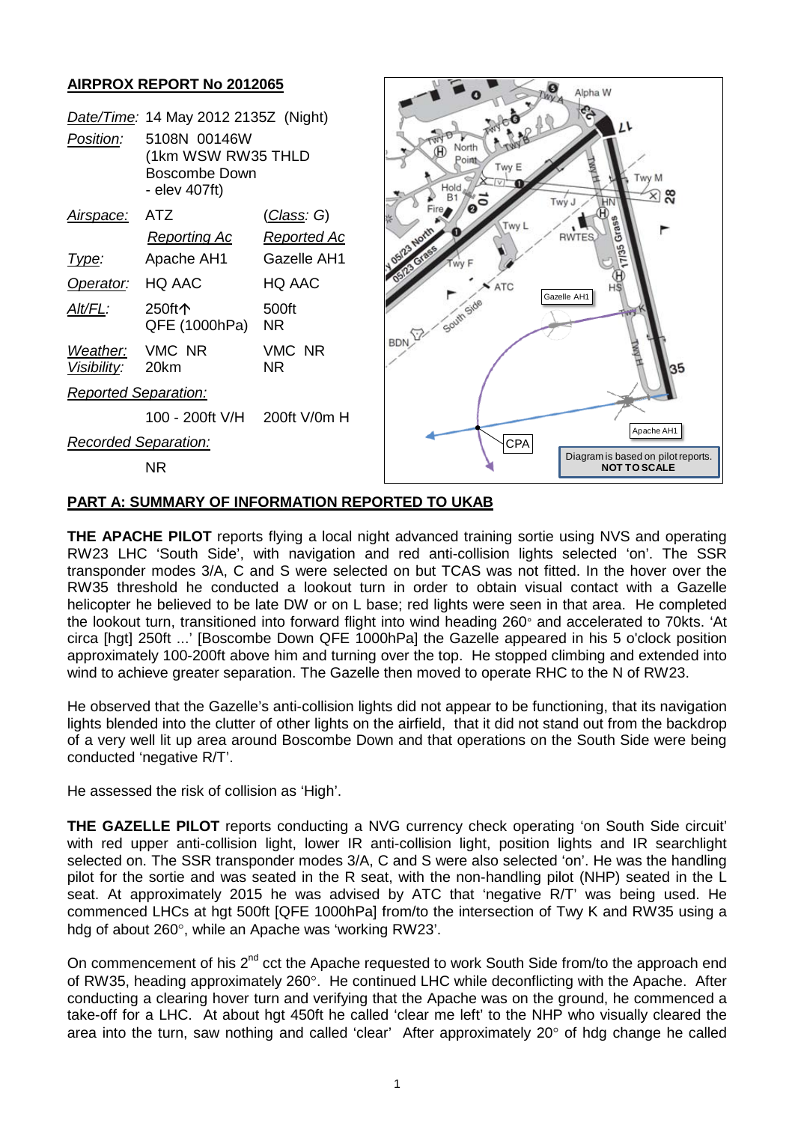# **AIRPROX REPORT No 2012065**



### **PART A: SUMMARY OF INFORMATION REPORTED TO UKAB**

**THE APACHE PILOT** reports flying a local night advanced training sortie using NVS and operating RW23 LHC 'South Side', with navigation and red anti-collision lights selected 'on'. The SSR transponder modes 3/A, C and S were selected on but TCAS was not fitted. In the hover over the RW35 threshold he conducted a lookout turn in order to obtain visual contact with a Gazelle helicopter he believed to be late DW or on L base; red lights were seen in that area. He completed the lookout turn, transitioned into forward flight into wind heading 260° and accelerated to 70kts. 'At circa [hgt] 250ft ...' [Boscombe Down QFE 1000hPa] the Gazelle appeared in his 5 o'clock position approximately 100-200ft above him and turning over the top. He stopped climbing and extended into wind to achieve greater separation. The Gazelle then moved to operate RHC to the N of RW23.

He observed that the Gazelle's anti-collision lights did not appear to be functioning, that its navigation lights blended into the clutter of other lights on the airfield, that it did not stand out from the backdrop of a very well lit up area around Boscombe Down and that operations on the South Side were being conducted 'negative R/T'.

He assessed the risk of collision as 'High'.

**THE GAZELLE PILOT** reports conducting a NVG currency check operating 'on South Side circuit' with red upper anti-collision light, lower IR anti-collision light, position lights and IR searchlight selected on. The SSR transponder modes 3/A, C and S were also selected 'on'. He was the handling pilot for the sortie and was seated in the R seat, with the non-handling pilot (NHP) seated in the L seat. At approximately 2015 he was advised by ATC that 'negative R/T' was being used. He commenced LHCs at hgt 500ft [QFE 1000hPa] from/to the intersection of Twy K and RW35 using a hdg of about 260°, while an Apache was 'working RW23'.

On commencement of his  $2^{nd}$  cct the Apache requested to work South Side from/to the approach end of RW35, heading approximately 260°. He continued LHC while deconflicting with the Apache. After conducting a clearing hover turn and verifying that the Apache was on the ground, he commenced a take-off for a LHC. At about hgt 450ft he called 'clear me left' to the NHP who visually cleared the area into the turn, saw nothing and called 'clear' After approximately 20° of hdg change he called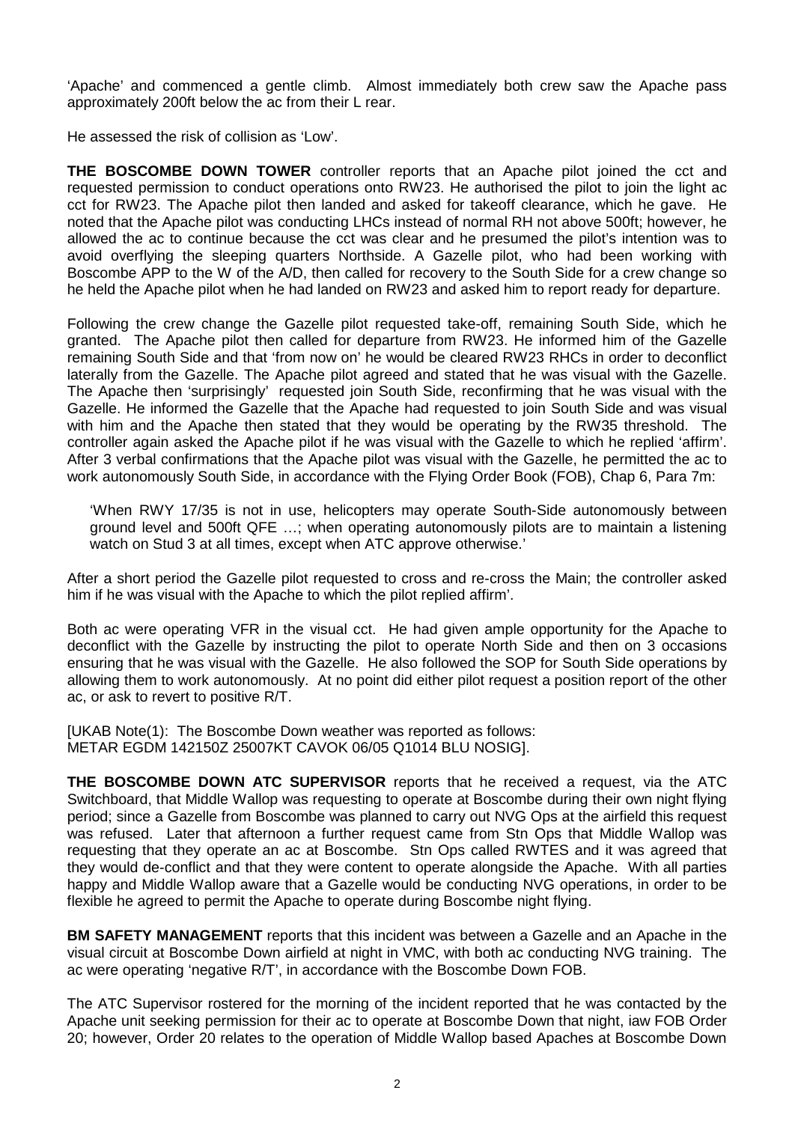'Apache' and commenced a gentle climb. Almost immediately both crew saw the Apache pass approximately 200ft below the ac from their L rear.

He assessed the risk of collision as 'Low'.

**THE BOSCOMBE DOWN TOWER** controller reports that an Apache pilot joined the cct and requested permission to conduct operations onto RW23. He authorised the pilot to join the light ac cct for RW23. The Apache pilot then landed and asked for takeoff clearance, which he gave. He noted that the Apache pilot was conducting LHCs instead of normal RH not above 500ft; however, he allowed the ac to continue because the cct was clear and he presumed the pilot's intention was to avoid overflying the sleeping quarters Northside. A Gazelle pilot, who had been working with Boscombe APP to the W of the A/D, then called for recovery to the South Side for a crew change so he held the Apache pilot when he had landed on RW23 and asked him to report ready for departure.

Following the crew change the Gazelle pilot requested take-off, remaining South Side, which he granted. The Apache pilot then called for departure from RW23. He informed him of the Gazelle remaining South Side and that 'from now on' he would be cleared RW23 RHCs in order to deconflict laterally from the Gazelle. The Apache pilot agreed and stated that he was visual with the Gazelle. The Apache then 'surprisingly' requested join South Side, reconfirming that he was visual with the Gazelle. He informed the Gazelle that the Apache had requested to join South Side and was visual with him and the Apache then stated that they would be operating by the RW35 threshold. The controller again asked the Apache pilot if he was visual with the Gazelle to which he replied 'affirm'. After 3 verbal confirmations that the Apache pilot was visual with the Gazelle, he permitted the ac to work autonomously South Side, in accordance with the Flying Order Book (FOB), Chap 6, Para 7m:

'When RWY 17/35 is not in use, helicopters may operate South-Side autonomously between ground level and 500ft QFE …; when operating autonomously pilots are to maintain a listening watch on Stud 3 at all times, except when ATC approve otherwise.'

After a short period the Gazelle pilot requested to cross and re-cross the Main; the controller asked him if he was visual with the Apache to which the pilot replied affirm'.

Both ac were operating VFR in the visual cct. He had given ample opportunity for the Apache to deconflict with the Gazelle by instructing the pilot to operate North Side and then on 3 occasions ensuring that he was visual with the Gazelle. He also followed the SOP for South Side operations by allowing them to work autonomously. At no point did either pilot request a position report of the other ac, or ask to revert to positive R/T.

[UKAB Note(1): The Boscombe Down weather was reported as follows: METAR EGDM 142150Z 25007KT CAVOK 06/05 Q1014 BLU NOSIG].

**THE BOSCOMBE DOWN ATC SUPERVISOR** reports that he received a request, via the ATC Switchboard, that Middle Wallop was requesting to operate at Boscombe during their own night flying period; since a Gazelle from Boscombe was planned to carry out NVG Ops at the airfield this request was refused. Later that afternoon a further request came from Stn Ops that Middle Wallop was requesting that they operate an ac at Boscombe. Stn Ops called RWTES and it was agreed that they would de-conflict and that they were content to operate alongside the Apache. With all parties happy and Middle Wallop aware that a Gazelle would be conducting NVG operations, in order to be flexible he agreed to permit the Apache to operate during Boscombe night flying.

**BM SAFETY MANAGEMENT** reports that this incident was between a Gazelle and an Apache in the visual circuit at Boscombe Down airfield at night in VMC, with both ac conducting NVG training. The ac were operating 'negative R/T', in accordance with the Boscombe Down FOB.

The ATC Supervisor rostered for the morning of the incident reported that he was contacted by the Apache unit seeking permission for their ac to operate at Boscombe Down that night, iaw FOB Order 20; however, Order 20 relates to the operation of Middle Wallop based Apaches at Boscombe Down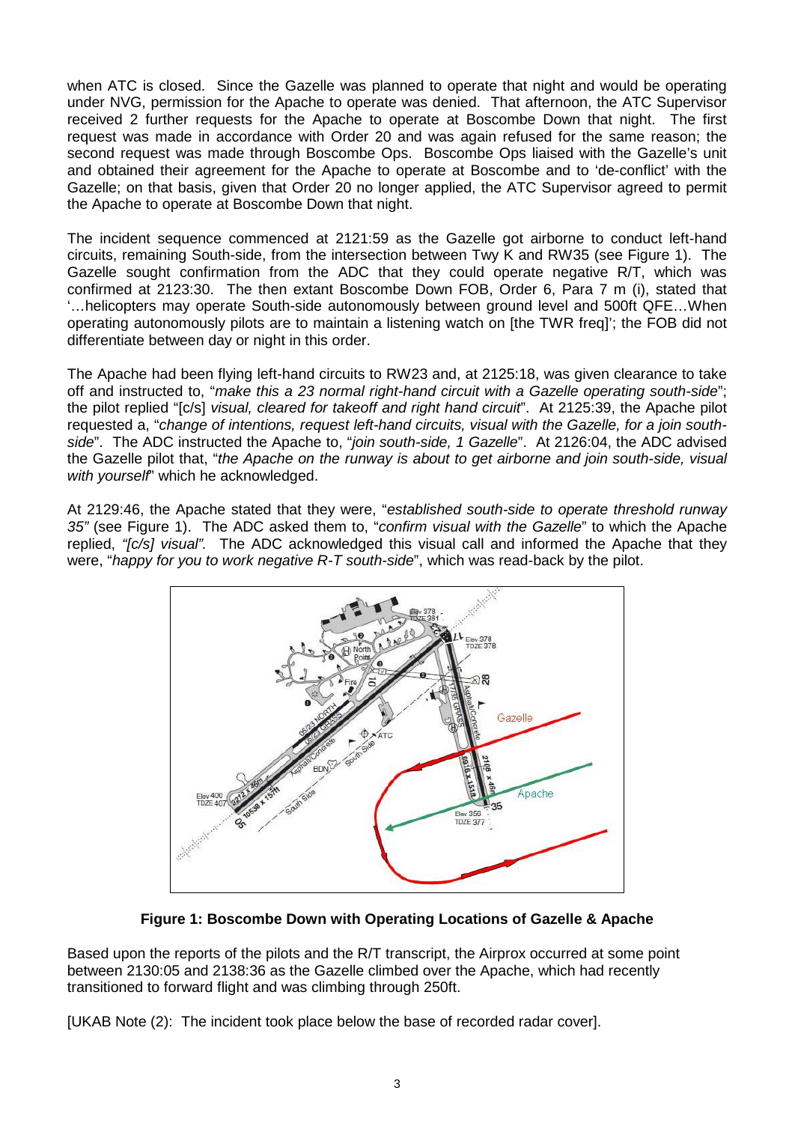when ATC is closed. Since the Gazelle was planned to operate that night and would be operating under NVG, permission for the Apache to operate was denied. That afternoon, the ATC Supervisor received 2 further requests for the Apache to operate at Boscombe Down that night. The first request was made in accordance with Order 20 and was again refused for the same reason; the second request was made through Boscombe Ops. Boscombe Ops liaised with the Gazelle's unit and obtained their agreement for the Apache to operate at Boscombe and to 'de-conflict' with the Gazelle; on that basis, given that Order 20 no longer applied, the ATC Supervisor agreed to permit the Apache to operate at Boscombe Down that night.

The incident sequence commenced at 2121:59 as the Gazelle got airborne to conduct left-hand circuits, remaining South-side, from the intersection between Twy K and RW35 (see Figure 1). The Gazelle sought confirmation from the ADC that they could operate negative R/T, which was confirmed at 2123:30. The then extant Boscombe Down FOB, Order 6, Para 7 m (i), stated that '…helicopters may operate South-side autonomously between ground level and 500ft QFE…When operating autonomously pilots are to maintain a listening watch on [the TWR freq]'; the FOB did not differentiate between day or night in this order.

The Apache had been flying left-hand circuits to RW23 and, at 2125:18, was given clearance to take off and instructed to, "*make this a 23 normal right-hand circuit with a Gazelle operating south-side*"; the pilot replied "[c/s] *visual, cleared for takeoff and right hand circuit*". At 2125:39, the Apache pilot requested a, "*change of intentions, request left-hand circuits, visual with the Gazelle, for a join southside*". The ADC instructed the Apache to, "*join south-side, 1 Gazelle*". At 2126:04, the ADC advised the Gazelle pilot that, "*the Apache on the runway is about to get airborne and join south-side, visual with yourself*" which he acknowledged.

At 2129:46, the Apache stated that they were, "*established south-side to operate threshold runway 35"* (see Figure 1). The ADC asked them to, "*confirm visual with the Gazelle*" to which the Apache replied, *"[c/s] visual".* The ADC acknowledged this visual call and informed the Apache that they were, "*happy for you to work negative R-T south-side*", which was read-back by the pilot.



**Figure 1: Boscombe Down with Operating Locations of Gazelle & Apache**

Based upon the reports of the pilots and the R/T transcript, the Airprox occurred at some point between 2130:05 and 2138:36 as the Gazelle climbed over the Apache, which had recently transitioned to forward flight and was climbing through 250ft.

[UKAB Note (2): The incident took place below the base of recorded radar cover].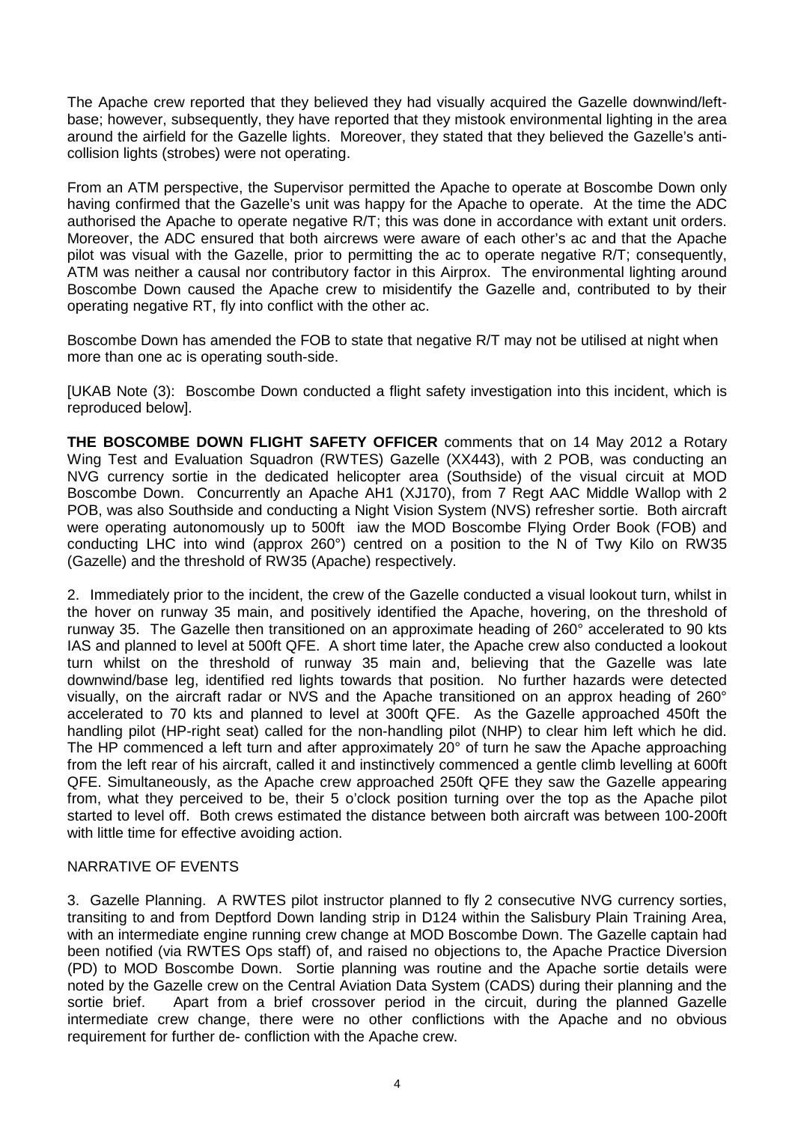The Apache crew reported that they believed they had visually acquired the Gazelle downwind/leftbase; however, subsequently, they have reported that they mistook environmental lighting in the area around the airfield for the Gazelle lights. Moreover, they stated that they believed the Gazelle's anticollision lights (strobes) were not operating.

From an ATM perspective, the Supervisor permitted the Apache to operate at Boscombe Down only having confirmed that the Gazelle's unit was happy for the Apache to operate. At the time the ADC authorised the Apache to operate negative R/T; this was done in accordance with extant unit orders. Moreover, the ADC ensured that both aircrews were aware of each other's ac and that the Apache pilot was visual with the Gazelle, prior to permitting the ac to operate negative R/T; consequently, ATM was neither a causal nor contributory factor in this Airprox. The environmental lighting around Boscombe Down caused the Apache crew to misidentify the Gazelle and, contributed to by their operating negative RT, fly into conflict with the other ac.

Boscombe Down has amended the FOB to state that negative R/T may not be utilised at night when more than one ac is operating south-side.

[UKAB Note (3): Boscombe Down conducted a flight safety investigation into this incident, which is reproduced below].

**THE BOSCOMBE DOWN FLIGHT SAFETY OFFICER** comments that on 14 May 2012 a Rotary Wing Test and Evaluation Squadron (RWTES) Gazelle (XX443), with 2 POB, was conducting an NVG currency sortie in the dedicated helicopter area (Southside) of the visual circuit at MOD Boscombe Down. Concurrently an Apache AH1 (XJ170), from 7 Regt AAC Middle Wallop with 2 POB, was also Southside and conducting a Night Vision System (NVS) refresher sortie. Both aircraft were operating autonomously up to 500ft iaw the MOD Boscombe Flying Order Book (FOB) and conducting LHC into wind (approx 260°) centred on a position to the N of Twy Kilo on RW35 (Gazelle) and the threshold of RW35 (Apache) respectively.

2. Immediately prior to the incident, the crew of the Gazelle conducted a visual lookout turn, whilst in the hover on runway 35 main, and positively identified the Apache, hovering, on the threshold of runway 35. The Gazelle then transitioned on an approximate heading of 260° accelerated to 90 kts IAS and planned to level at 500ft QFE. A short time later, the Apache crew also conducted a lookout turn whilst on the threshold of runway 35 main and, believing that the Gazelle was late downwind/base leg, identified red lights towards that position. No further hazards were detected visually, on the aircraft radar or NVS and the Apache transitioned on an approx heading of 260° accelerated to 70 kts and planned to level at 300ft QFE. As the Gazelle approached 450ft the handling pilot (HP-right seat) called for the non-handling pilot (NHP) to clear him left which he did. The HP commenced a left turn and after approximately 20° of turn he saw the Apache approaching from the left rear of his aircraft, called it and instinctively commenced a gentle climb levelling at 600ft QFE. Simultaneously, as the Apache crew approached 250ft QFE they saw the Gazelle appearing from, what they perceived to be, their 5 o'clock position turning over the top as the Apache pilot started to level off. Both crews estimated the distance between both aircraft was between 100-200ft with little time for effective avoiding action.

## NARRATIVE OF EVENTS

3. Gazelle Planning. A RWTES pilot instructor planned to fly 2 consecutive NVG currency sorties, transiting to and from Deptford Down landing strip in D124 within the Salisbury Plain Training Area, with an intermediate engine running crew change at MOD Boscombe Down. The Gazelle captain had been notified (via RWTES Ops staff) of, and raised no objections to, the Apache Practice Diversion (PD) to MOD Boscombe Down. Sortie planning was routine and the Apache sortie details were noted by the Gazelle crew on the Central Aviation Data System (CADS) during their planning and the sortie brief. Apart from a brief crossover period in the circuit, during the planned Gazelle intermediate crew change, there were no other conflictions with the Apache and no obvious requirement for further de- confliction with the Apache crew.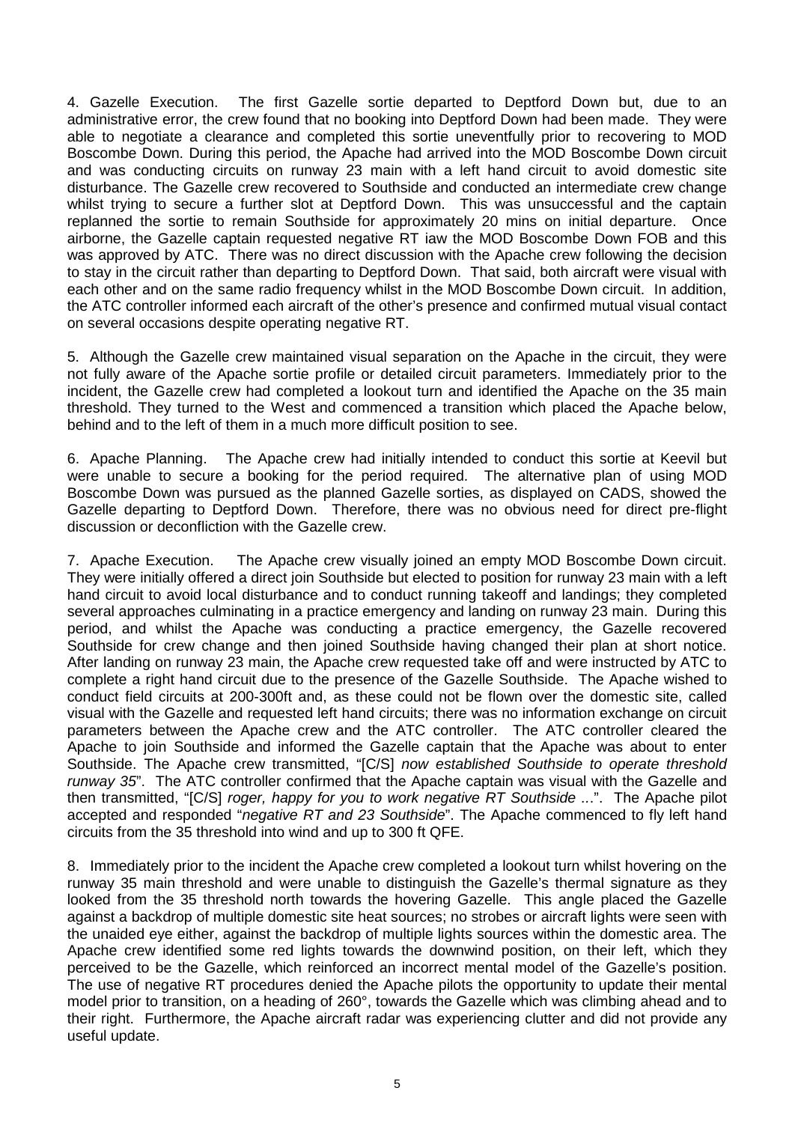4. Gazelle Execution. The first Gazelle sortie departed to Deptford Down but, due to an administrative error, the crew found that no booking into Deptford Down had been made. They were able to negotiate a clearance and completed this sortie uneventfully prior to recovering to MOD Boscombe Down. During this period, the Apache had arrived into the MOD Boscombe Down circuit and was conducting circuits on runway 23 main with a left hand circuit to avoid domestic site disturbance. The Gazelle crew recovered to Southside and conducted an intermediate crew change whilst trying to secure a further slot at Deptford Down. This was unsuccessful and the captain replanned the sortie to remain Southside for approximately 20 mins on initial departure. Once airborne, the Gazelle captain requested negative RT iaw the MOD Boscombe Down FOB and this was approved by ATC. There was no direct discussion with the Apache crew following the decision to stay in the circuit rather than departing to Deptford Down. That said, both aircraft were visual with each other and on the same radio frequency whilst in the MOD Boscombe Down circuit. In addition, the ATC controller informed each aircraft of the other's presence and confirmed mutual visual contact on several occasions despite operating negative RT.

5. Although the Gazelle crew maintained visual separation on the Apache in the circuit, they were not fully aware of the Apache sortie profile or detailed circuit parameters. Immediately prior to the incident, the Gazelle crew had completed a lookout turn and identified the Apache on the 35 main threshold. They turned to the West and commenced a transition which placed the Apache below, behind and to the left of them in a much more difficult position to see.

6. Apache Planning. The Apache crew had initially intended to conduct this sortie at Keevil but were unable to secure a booking for the period required. The alternative plan of using MOD Boscombe Down was pursued as the planned Gazelle sorties, as displayed on CADS, showed the Gazelle departing to Deptford Down. Therefore, there was no obvious need for direct pre-flight discussion or deconfliction with the Gazelle crew.

7. Apache Execution. The Apache crew visually joined an empty MOD Boscombe Down circuit. They were initially offered a direct join Southside but elected to position for runway 23 main with a left hand circuit to avoid local disturbance and to conduct running takeoff and landings; they completed several approaches culminating in a practice emergency and landing on runway 23 main. During this period, and whilst the Apache was conducting a practice emergency, the Gazelle recovered Southside for crew change and then joined Southside having changed their plan at short notice. After landing on runway 23 main, the Apache crew requested take off and were instructed by ATC to complete a right hand circuit due to the presence of the Gazelle Southside. The Apache wished to conduct field circuits at 200-300ft and, as these could not be flown over the domestic site, called visual with the Gazelle and requested left hand circuits; there was no information exchange on circuit parameters between the Apache crew and the ATC controller. The ATC controller cleared the Apache to join Southside and informed the Gazelle captain that the Apache was about to enter Southside. The Apache crew transmitted, "[C/S] *now established Southside to operate threshold runway 35*". The ATC controller confirmed that the Apache captain was visual with the Gazelle and then transmitted, "[C/S] *roger, happy for you to work negative RT Southside ..*.". The Apache pilot accepted and responded "*negative RT and 23 Southside*". The Apache commenced to fly left hand circuits from the 35 threshold into wind and up to 300 ft QFE.

8. Immediately prior to the incident the Apache crew completed a lookout turn whilst hovering on the runway 35 main threshold and were unable to distinguish the Gazelle's thermal signature as they looked from the 35 threshold north towards the hovering Gazelle. This angle placed the Gazelle against a backdrop of multiple domestic site heat sources; no strobes or aircraft lights were seen with the unaided eye either, against the backdrop of multiple lights sources within the domestic area. The Apache crew identified some red lights towards the downwind position, on their left, which they perceived to be the Gazelle, which reinforced an incorrect mental model of the Gazelle's position. The use of negative RT procedures denied the Apache pilots the opportunity to update their mental model prior to transition, on a heading of 260°, towards the Gazelle which was climbing ahead and to their right. Furthermore, the Apache aircraft radar was experiencing clutter and did not provide any useful update.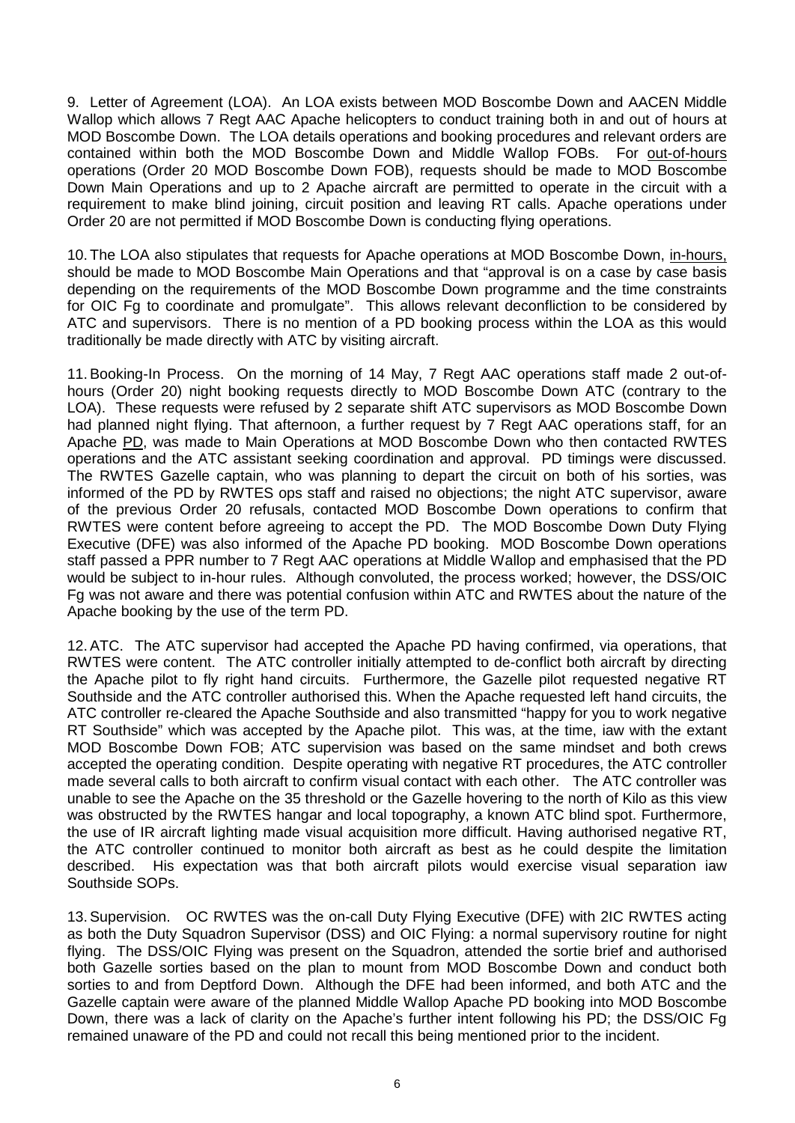9. Letter of Agreement (LOA). An LOA exists between MOD Boscombe Down and AACEN Middle Wallop which allows 7 Regt AAC Apache helicopters to conduct training both in and out of hours at MOD Boscombe Down. The LOA details operations and booking procedures and relevant orders are contained within both the MOD Boscombe Down and Middle Wallop FOBs. For out-of-hours operations (Order 20 MOD Boscombe Down FOB), requests should be made to MOD Boscombe Down Main Operations and up to 2 Apache aircraft are permitted to operate in the circuit with a requirement to make blind joining, circuit position and leaving RT calls. Apache operations under Order 20 are not permitted if MOD Boscombe Down is conducting flying operations.

10. The LOA also stipulates that requests for Apache operations at MOD Boscombe Down, in-hours, should be made to MOD Boscombe Main Operations and that "approval is on a case by case basis depending on the requirements of the MOD Boscombe Down programme and the time constraints for OIC Fg to coordinate and promulgate". This allows relevant deconfliction to be considered by ATC and supervisors. There is no mention of a PD booking process within the LOA as this would traditionally be made directly with ATC by visiting aircraft.

11.Booking-In Process. On the morning of 14 May, 7 Regt AAC operations staff made 2 out-ofhours (Order 20) night booking requests directly to MOD Boscombe Down ATC (contrary to the LOA). These requests were refused by 2 separate shift ATC supervisors as MOD Boscombe Down had planned night flying. That afternoon, a further request by 7 Regt AAC operations staff, for an Apache PD, was made to Main Operations at MOD Boscombe Down who then contacted RWTES operations and the ATC assistant seeking coordination and approval. PD timings were discussed. The RWTES Gazelle captain, who was planning to depart the circuit on both of his sorties, was informed of the PD by RWTES ops staff and raised no objections; the night ATC supervisor, aware of the previous Order 20 refusals, contacted MOD Boscombe Down operations to confirm that RWTES were content before agreeing to accept the PD. The MOD Boscombe Down Duty Flying Executive (DFE) was also informed of the Apache PD booking. MOD Boscombe Down operations staff passed a PPR number to 7 Regt AAC operations at Middle Wallop and emphasised that the PD would be subject to in-hour rules. Although convoluted, the process worked; however, the DSS/OIC Fg was not aware and there was potential confusion within ATC and RWTES about the nature of the Apache booking by the use of the term PD.

12.ATC. The ATC supervisor had accepted the Apache PD having confirmed, via operations, that RWTES were content. The ATC controller initially attempted to de-conflict both aircraft by directing the Apache pilot to fly right hand circuits. Furthermore, the Gazelle pilot requested negative RT Southside and the ATC controller authorised this. When the Apache requested left hand circuits, the ATC controller re-cleared the Apache Southside and also transmitted "happy for you to work negative RT Southside" which was accepted by the Apache pilot. This was, at the time, iaw with the extant MOD Boscombe Down FOB; ATC supervision was based on the same mindset and both crews accepted the operating condition. Despite operating with negative RT procedures, the ATC controller made several calls to both aircraft to confirm visual contact with each other. The ATC controller was unable to see the Apache on the 35 threshold or the Gazelle hovering to the north of Kilo as this view was obstructed by the RWTES hangar and local topography, a known ATC blind spot. Furthermore, the use of IR aircraft lighting made visual acquisition more difficult. Having authorised negative RT, the ATC controller continued to monitor both aircraft as best as he could despite the limitation described. His expectation was that both aircraft pilots would exercise visual separation iaw Southside SOPs.

13.Supervision. OC RWTES was the on-call Duty Flying Executive (DFE) with 2IC RWTES acting as both the Duty Squadron Supervisor (DSS) and OIC Flying: a normal supervisory routine for night flying. The DSS/OIC Flying was present on the Squadron, attended the sortie brief and authorised both Gazelle sorties based on the plan to mount from MOD Boscombe Down and conduct both sorties to and from Deptford Down. Although the DFE had been informed, and both ATC and the Gazelle captain were aware of the planned Middle Wallop Apache PD booking into MOD Boscombe Down, there was a lack of clarity on the Apache's further intent following his PD; the DSS/OIC Fg remained unaware of the PD and could not recall this being mentioned prior to the incident.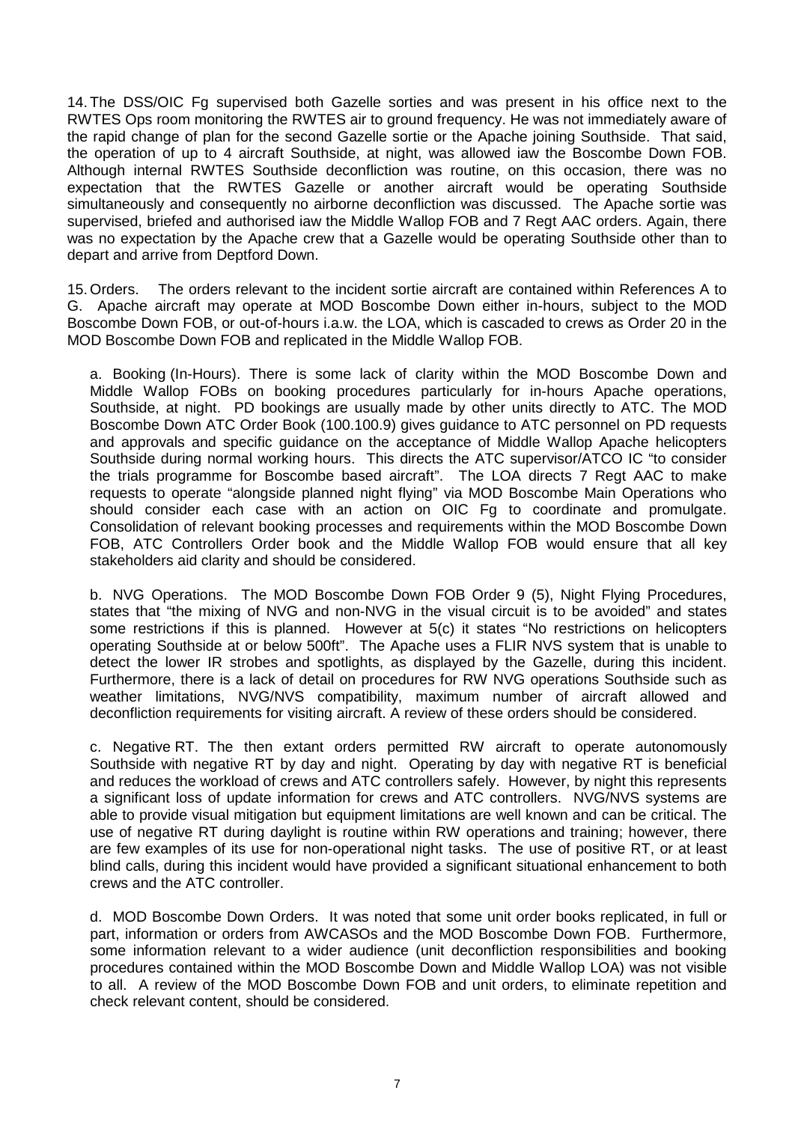14. The DSS/OIC Fg supervised both Gazelle sorties and was present in his office next to the RWTES Ops room monitoring the RWTES air to ground frequency. He was not immediately aware of the rapid change of plan for the second Gazelle sortie or the Apache joining Southside. That said, the operation of up to 4 aircraft Southside, at night, was allowed iaw the Boscombe Down FOB. Although internal RWTES Southside deconfliction was routine, on this occasion, there was no expectation that the RWTES Gazelle or another aircraft would be operating Southside simultaneously and consequently no airborne deconfliction was discussed. The Apache sortie was supervised, briefed and authorised iaw the Middle Wallop FOB and 7 Regt AAC orders. Again, there was no expectation by the Apache crew that a Gazelle would be operating Southside other than to depart and arrive from Deptford Down.

15. Orders. The orders relevant to the incident sortie aircraft are contained within References A to G. Apache aircraft may operate at MOD Boscombe Down either in-hours, subject to the MOD Boscombe Down FOB, or out-of-hours i.a.w. the LOA, which is cascaded to crews as Order 20 in the MOD Boscombe Down FOB and replicated in the Middle Wallop FOB.

a. Booking (In-Hours). There is some lack of clarity within the MOD Boscombe Down and Middle Wallop FOBs on booking procedures particularly for in-hours Apache operations, Southside, at night. PD bookings are usually made by other units directly to ATC. The MOD Boscombe Down ATC Order Book (100.100.9) gives guidance to ATC personnel on PD requests and approvals and specific guidance on the acceptance of Middle Wallop Apache helicopters Southside during normal working hours. This directs the ATC supervisor/ATCO IC "to consider the trials programme for Boscombe based aircraft". The LOA directs 7 Regt AAC to make requests to operate "alongside planned night flying" via MOD Boscombe Main Operations who should consider each case with an action on OIC Fg to coordinate and promulgate. Consolidation of relevant booking processes and requirements within the MOD Boscombe Down FOB, ATC Controllers Order book and the Middle Wallop FOB would ensure that all key stakeholders aid clarity and should be considered.

b. NVG Operations. The MOD Boscombe Down FOB Order 9 (5), Night Flying Procedures, states that "the mixing of NVG and non-NVG in the visual circuit is to be avoided" and states some restrictions if this is planned. However at 5(c) it states "No restrictions on helicopters operating Southside at or below 500ft". The Apache uses a FLIR NVS system that is unable to detect the lower IR strobes and spotlights, as displayed by the Gazelle, during this incident. Furthermore, there is a lack of detail on procedures for RW NVG operations Southside such as weather limitations, NVG/NVS compatibility, maximum number of aircraft allowed and deconfliction requirements for visiting aircraft. A review of these orders should be considered.

c. Negative RT. The then extant orders permitted RW aircraft to operate autonomously Southside with negative RT by day and night. Operating by day with negative RT is beneficial and reduces the workload of crews and ATC controllers safely. However, by night this represents a significant loss of update information for crews and ATC controllers. NVG/NVS systems are able to provide visual mitigation but equipment limitations are well known and can be critical. The use of negative RT during daylight is routine within RW operations and training; however, there are few examples of its use for non-operational night tasks. The use of positive RT, or at least blind calls, during this incident would have provided a significant situational enhancement to both crews and the ATC controller.

d. MOD Boscombe Down Orders. It was noted that some unit order books replicated, in full or part, information or orders from AWCASOs and the MOD Boscombe Down FOB. Furthermore, some information relevant to a wider audience (unit deconfliction responsibilities and booking procedures contained within the MOD Boscombe Down and Middle Wallop LOA) was not visible to all. A review of the MOD Boscombe Down FOB and unit orders, to eliminate repetition and check relevant content, should be considered.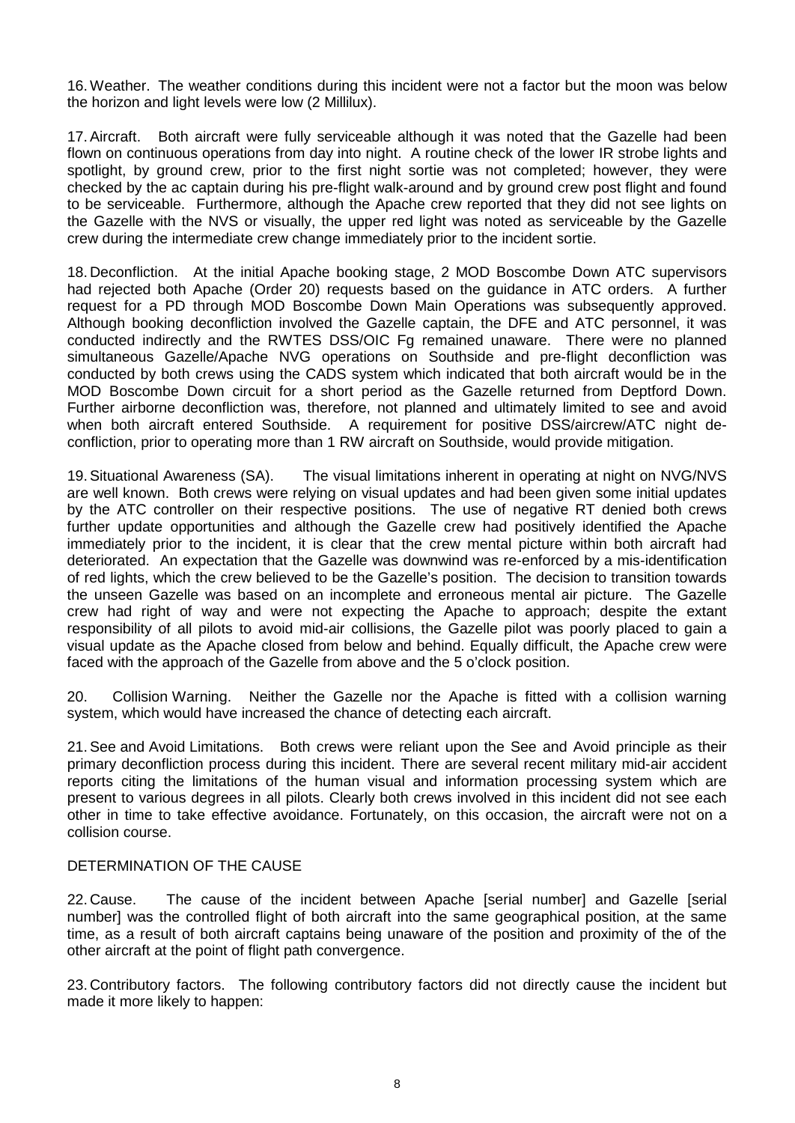16.Weather. The weather conditions during this incident were not a factor but the moon was below the horizon and light levels were low (2 Millilux).

17.Aircraft. Both aircraft were fully serviceable although it was noted that the Gazelle had been flown on continuous operations from day into night. A routine check of the lower IR strobe lights and spotlight, by ground crew, prior to the first night sortie was not completed; however, they were checked by the ac captain during his pre-flight walk-around and by ground crew post flight and found to be serviceable. Furthermore, although the Apache crew reported that they did not see lights on the Gazelle with the NVS or visually, the upper red light was noted as serviceable by the Gazelle crew during the intermediate crew change immediately prior to the incident sortie.

18. Deconfliction. At the initial Apache booking stage, 2 MOD Boscombe Down ATC supervisors had rejected both Apache (Order 20) requests based on the guidance in ATC orders. A further request for a PD through MOD Boscombe Down Main Operations was subsequently approved. Although booking deconfliction involved the Gazelle captain, the DFE and ATC personnel, it was conducted indirectly and the RWTES DSS/OIC Fg remained unaware. There were no planned simultaneous Gazelle/Apache NVG operations on Southside and pre-flight deconfliction was conducted by both crews using the CADS system which indicated that both aircraft would be in the MOD Boscombe Down circuit for a short period as the Gazelle returned from Deptford Down. Further airborne deconfliction was, therefore, not planned and ultimately limited to see and avoid when both aircraft entered Southside. A requirement for positive DSS/aircrew/ATC night deconfliction, prior to operating more than 1 RW aircraft on Southside, would provide mitigation.

19.Situational Awareness (SA). The visual limitations inherent in operating at night on NVG/NVS are well known. Both crews were relying on visual updates and had been given some initial updates by the ATC controller on their respective positions. The use of negative RT denied both crews further update opportunities and although the Gazelle crew had positively identified the Apache immediately prior to the incident, it is clear that the crew mental picture within both aircraft had deteriorated. An expectation that the Gazelle was downwind was re-enforced by a mis-identification of red lights, which the crew believed to be the Gazelle's position. The decision to transition towards the unseen Gazelle was based on an incomplete and erroneous mental air picture. The Gazelle crew had right of way and were not expecting the Apache to approach; despite the extant responsibility of all pilots to avoid mid-air collisions, the Gazelle pilot was poorly placed to gain a visual update as the Apache closed from below and behind. Equally difficult, the Apache crew were faced with the approach of the Gazelle from above and the 5 o'clock position.

20. Collision Warning. Neither the Gazelle nor the Apache is fitted with a collision warning system, which would have increased the chance of detecting each aircraft.

21.See and Avoid Limitations. Both crews were reliant upon the See and Avoid principle as their primary deconfliction process during this incident. There are several recent military mid-air accident reports citing the limitations of the human visual and information processing system which are present to various degrees in all pilots. Clearly both crews involved in this incident did not see each other in time to take effective avoidance. Fortunately, on this occasion, the aircraft were not on a collision course.

#### DETERMINATION OF THE CAUSE

22. Cause. The cause of the incident between Apache [serial number] and Gazelle [serial number] was the controlled flight of both aircraft into the same geographical position, at the same time, as a result of both aircraft captains being unaware of the position and proximity of the of the other aircraft at the point of flight path convergence.

23. Contributory factors. The following contributory factors did not directly cause the incident but made it more likely to happen: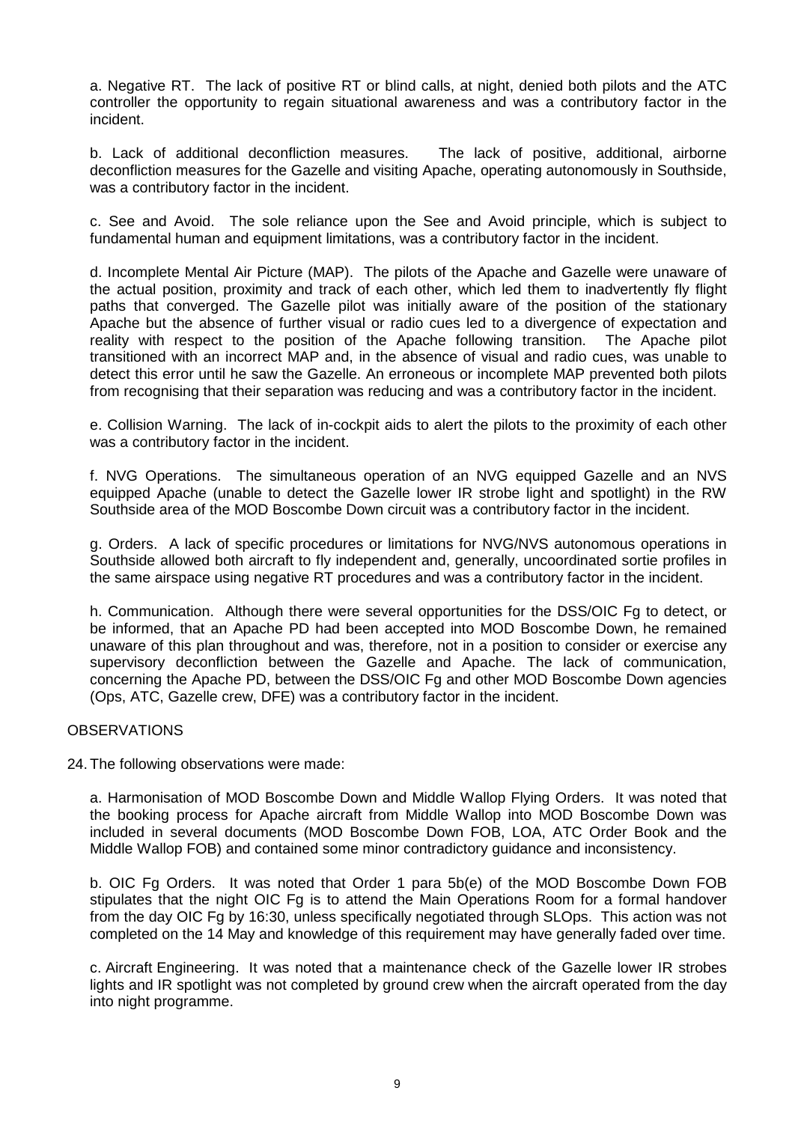a. Negative RT. The lack of positive RT or blind calls, at night, denied both pilots and the ATC controller the opportunity to regain situational awareness and was a contributory factor in the incident.

b. Lack of additional deconfliction measures. The lack of positive, additional, airborne deconfliction measures for the Gazelle and visiting Apache, operating autonomously in Southside, was a contributory factor in the incident.

c. See and Avoid. The sole reliance upon the See and Avoid principle, which is subject to fundamental human and equipment limitations, was a contributory factor in the incident.

d. Incomplete Mental Air Picture (MAP). The pilots of the Apache and Gazelle were unaware of the actual position, proximity and track of each other, which led them to inadvertently fly flight paths that converged. The Gazelle pilot was initially aware of the position of the stationary Apache but the absence of further visual or radio cues led to a divergence of expectation and reality with respect to the position of the Apache following transition. The Apache pilot transitioned with an incorrect MAP and, in the absence of visual and radio cues, was unable to detect this error until he saw the Gazelle. An erroneous or incomplete MAP prevented both pilots from recognising that their separation was reducing and was a contributory factor in the incident.

e. Collision Warning. The lack of in-cockpit aids to alert the pilots to the proximity of each other was a contributory factor in the incident.

f. NVG Operations. The simultaneous operation of an NVG equipped Gazelle and an NVS equipped Apache (unable to detect the Gazelle lower IR strobe light and spotlight) in the RW Southside area of the MOD Boscombe Down circuit was a contributory factor in the incident.

g. Orders. A lack of specific procedures or limitations for NVG/NVS autonomous operations in Southside allowed both aircraft to fly independent and, generally, uncoordinated sortie profiles in the same airspace using negative RT procedures and was a contributory factor in the incident.

h. Communication. Although there were several opportunities for the DSS/OIC Fg to detect, or be informed, that an Apache PD had been accepted into MOD Boscombe Down, he remained unaware of this plan throughout and was, therefore, not in a position to consider or exercise any supervisory deconfliction between the Gazelle and Apache. The lack of communication, concerning the Apache PD, between the DSS/OIC Fg and other MOD Boscombe Down agencies (Ops, ATC, Gazelle crew, DFE) was a contributory factor in the incident.

#### **OBSERVATIONS**

24. The following observations were made:

a. Harmonisation of MOD Boscombe Down and Middle Wallop Flying Orders. It was noted that the booking process for Apache aircraft from Middle Wallop into MOD Boscombe Down was included in several documents (MOD Boscombe Down FOB, LOA, ATC Order Book and the Middle Wallop FOB) and contained some minor contradictory guidance and inconsistency.

b. OIC Fg Orders. It was noted that Order 1 para 5b(e) of the MOD Boscombe Down FOB stipulates that the night OIC Fg is to attend the Main Operations Room for a formal handover from the day OIC Fg by 16:30, unless specifically negotiated through SLOps. This action was not completed on the 14 May and knowledge of this requirement may have generally faded over time.

c. Aircraft Engineering. It was noted that a maintenance check of the Gazelle lower IR strobes lights and IR spotlight was not completed by ground crew when the aircraft operated from the day into night programme.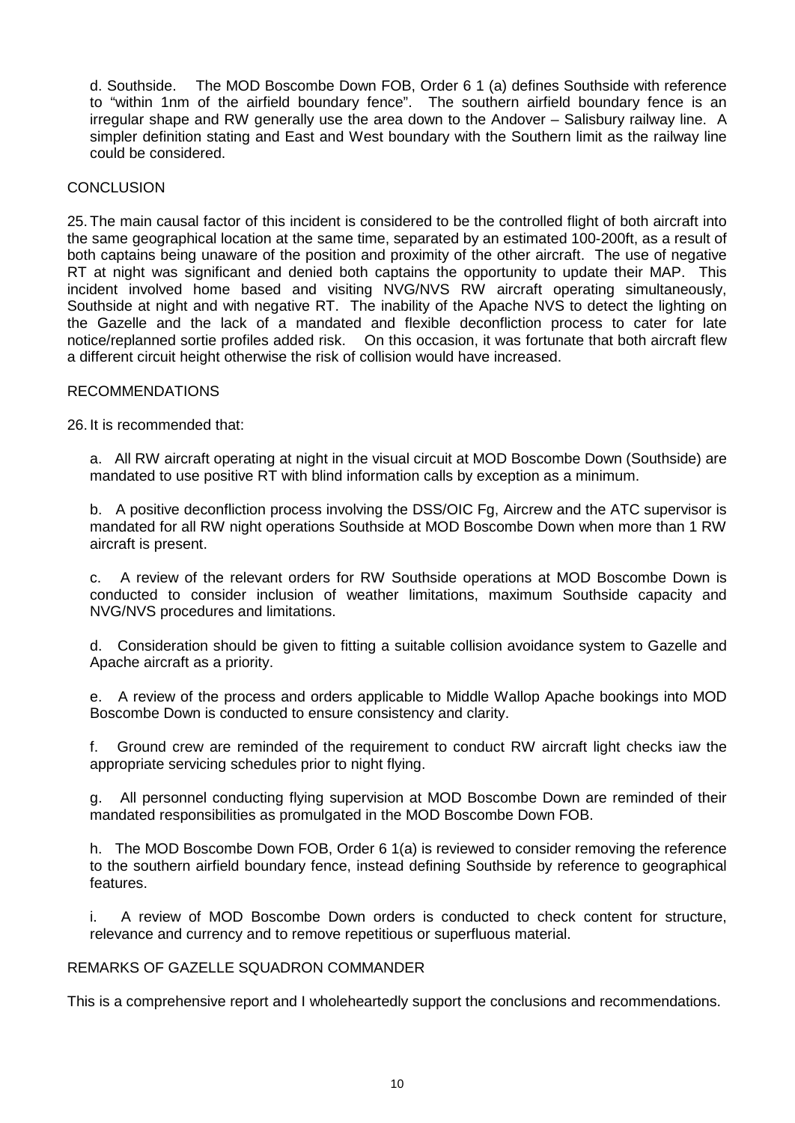d. Southside. The MOD Boscombe Down FOB, Order 6 1 (a) defines Southside with reference to "within 1nm of the airfield boundary fence". The southern airfield boundary fence is an irregular shape and RW generally use the area down to the Andover – Salisbury railway line. A simpler definition stating and East and West boundary with the Southern limit as the railway line could be considered.

### CONCLUSION

25. The main causal factor of this incident is considered to be the controlled flight of both aircraft into the same geographical location at the same time, separated by an estimated 100-200ft, as a result of both captains being unaware of the position and proximity of the other aircraft. The use of negative RT at night was significant and denied both captains the opportunity to update their MAP. This incident involved home based and visiting NVG/NVS RW aircraft operating simultaneously, Southside at night and with negative RT. The inability of the Apache NVS to detect the lighting on the Gazelle and the lack of a mandated and flexible deconfliction process to cater for late notice/replanned sortie profiles added risk. On this occasion, it was fortunate that both aircraft flew a different circuit height otherwise the risk of collision would have increased.

### RECOMMENDATIONS

26. It is recommended that:

a. All RW aircraft operating at night in the visual circuit at MOD Boscombe Down (Southside) are mandated to use positive RT with blind information calls by exception as a minimum.

b. A positive deconfliction process involving the DSS/OIC Fg, Aircrew and the ATC supervisor is mandated for all RW night operations Southside at MOD Boscombe Down when more than 1 RW aircraft is present.

c. A review of the relevant orders for RW Southside operations at MOD Boscombe Down is conducted to consider inclusion of weather limitations, maximum Southside capacity and NVG/NVS procedures and limitations.

d. Consideration should be given to fitting a suitable collision avoidance system to Gazelle and Apache aircraft as a priority.

e. A review of the process and orders applicable to Middle Wallop Apache bookings into MOD Boscombe Down is conducted to ensure consistency and clarity.

f. Ground crew are reminded of the requirement to conduct RW aircraft light checks iaw the appropriate servicing schedules prior to night flying.

g. All personnel conducting flying supervision at MOD Boscombe Down are reminded of their mandated responsibilities as promulgated in the MOD Boscombe Down FOB.

h. The MOD Boscombe Down FOB, Order 6 1(a) is reviewed to consider removing the reference to the southern airfield boundary fence, instead defining Southside by reference to geographical features.

i. A review of MOD Boscombe Down orders is conducted to check content for structure, relevance and currency and to remove repetitious or superfluous material.

## REMARKS OF GAZELLE SQUADRON COMMANDER

This is a comprehensive report and I wholeheartedly support the conclusions and recommendations.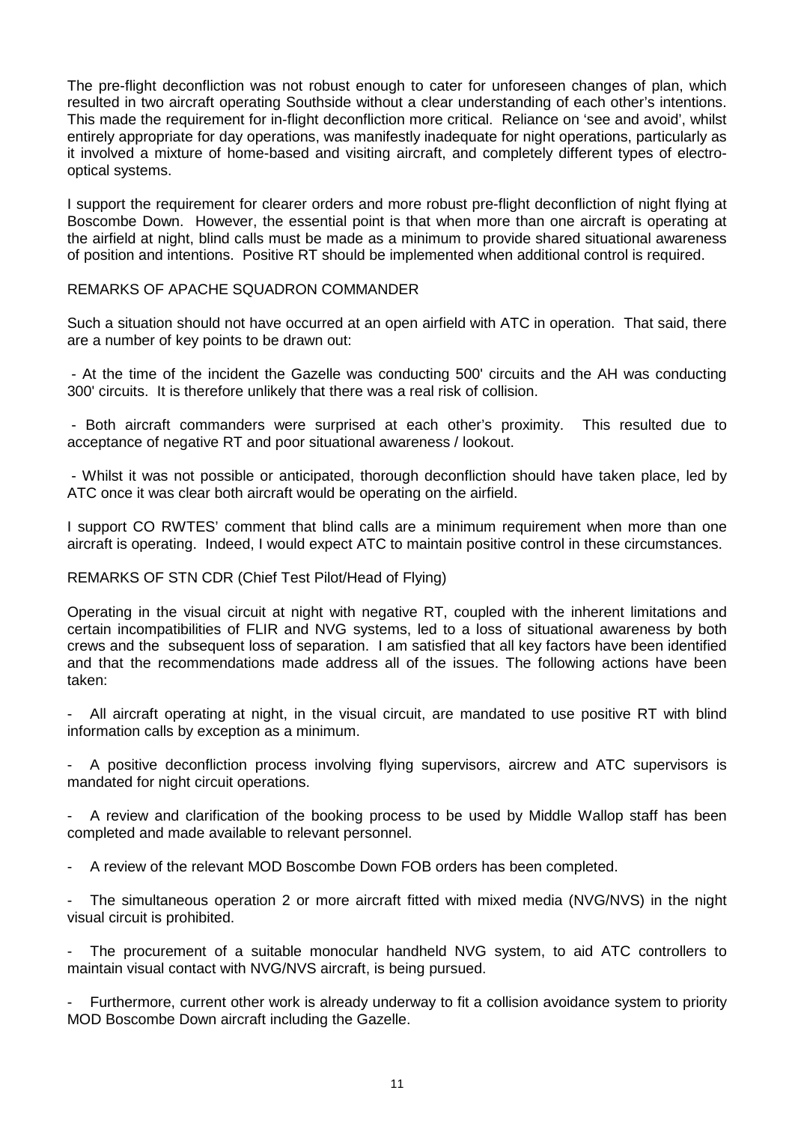The pre-flight deconfliction was not robust enough to cater for unforeseen changes of plan, which resulted in two aircraft operating Southside without a clear understanding of each other's intentions. This made the requirement for in-flight deconfliction more critical. Reliance on 'see and avoid', whilst entirely appropriate for day operations, was manifestly inadequate for night operations, particularly as it involved a mixture of home-based and visiting aircraft, and completely different types of electrooptical systems.

I support the requirement for clearer orders and more robust pre-flight deconfliction of night flying at Boscombe Down. However, the essential point is that when more than one aircraft is operating at the airfield at night, blind calls must be made as a minimum to provide shared situational awareness of position and intentions. Positive RT should be implemented when additional control is required.

### REMARKS OF APACHE SQUADRON COMMANDER

Such a situation should not have occurred at an open airfield with ATC in operation. That said, there are a number of key points to be drawn out:

- At the time of the incident the Gazelle was conducting 500' circuits and the AH was conducting 300' circuits. It is therefore unlikely that there was a real risk of collision.

- Both aircraft commanders were surprised at each other's proximity. This resulted due to acceptance of negative RT and poor situational awareness / lookout.

- Whilst it was not possible or anticipated, thorough deconfliction should have taken place, led by ATC once it was clear both aircraft would be operating on the airfield.

I support CO RWTES' comment that blind calls are a minimum requirement when more than one aircraft is operating. Indeed, I would expect ATC to maintain positive control in these circumstances.

## REMARKS OF STN CDR (Chief Test Pilot/Head of Flying)

Operating in the visual circuit at night with negative RT, coupled with the inherent limitations and certain incompatibilities of FLIR and NVG systems, led to a loss of situational awareness by both crews and the subsequent loss of separation. I am satisfied that all key factors have been identified and that the recommendations made address all of the issues. The following actions have been taken:

- All aircraft operating at night, in the visual circuit, are mandated to use positive RT with blind information calls by exception as a minimum.

A positive deconfliction process involving flying supervisors, aircrew and ATC supervisors is mandated for night circuit operations.

A review and clarification of the booking process to be used by Middle Wallop staff has been completed and made available to relevant personnel.

- A review of the relevant MOD Boscombe Down FOB orders has been completed.

The simultaneous operation 2 or more aircraft fitted with mixed media (NVG/NVS) in the night visual circuit is prohibited.

The procurement of a suitable monocular handheld NVG system, to aid ATC controllers to maintain visual contact with NVG/NVS aircraft, is being pursued.

Furthermore, current other work is already underway to fit a collision avoidance system to priority MOD Boscombe Down aircraft including the Gazelle.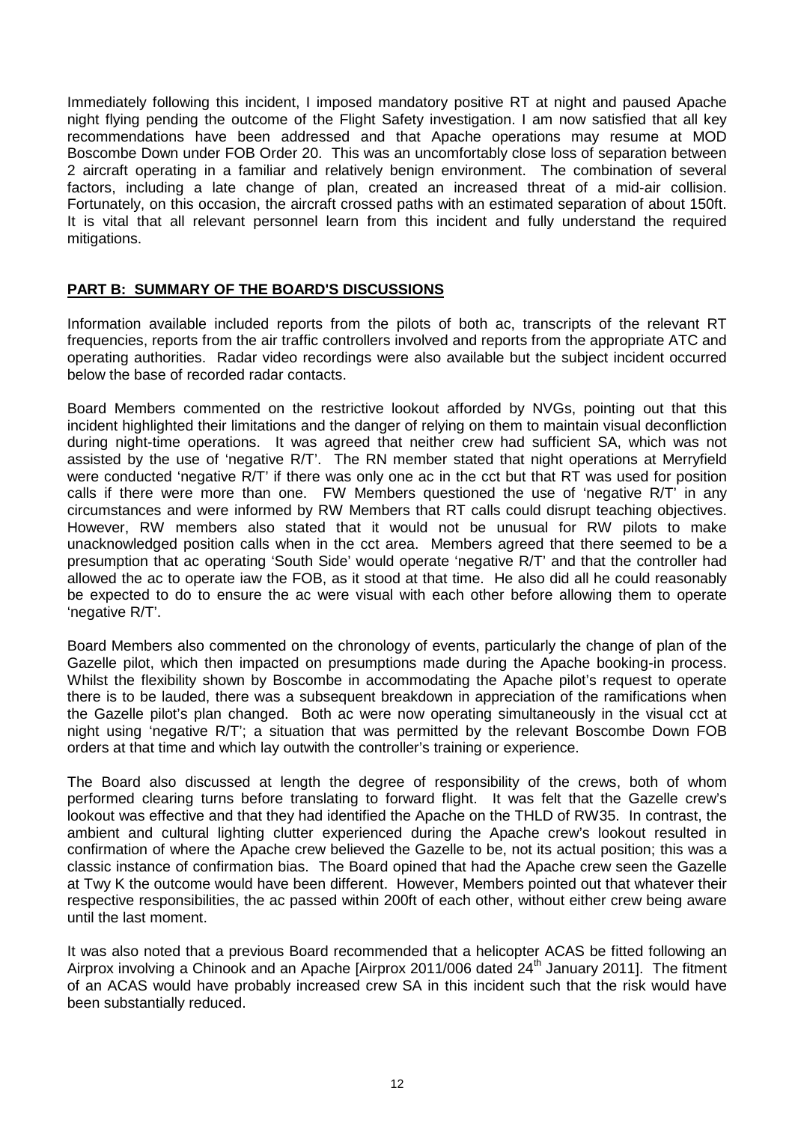Immediately following this incident, I imposed mandatory positive RT at night and paused Apache night flying pending the outcome of the Flight Safety investigation. I am now satisfied that all key recommendations have been addressed and that Apache operations may resume at MOD Boscombe Down under FOB Order 20. This was an uncomfortably close loss of separation between 2 aircraft operating in a familiar and relatively benign environment. The combination of several factors, including a late change of plan, created an increased threat of a mid-air collision. Fortunately, on this occasion, the aircraft crossed paths with an estimated separation of about 150ft. It is vital that all relevant personnel learn from this incident and fully understand the required mitigations.

## **PART B: SUMMARY OF THE BOARD'S DISCUSSIONS**

Information available included reports from the pilots of both ac, transcripts of the relevant RT frequencies, reports from the air traffic controllers involved and reports from the appropriate ATC and operating authorities. Radar video recordings were also available but the subject incident occurred below the base of recorded radar contacts.

Board Members commented on the restrictive lookout afforded by NVGs, pointing out that this incident highlighted their limitations and the danger of relying on them to maintain visual deconfliction during night-time operations. It was agreed that neither crew had sufficient SA, which was not assisted by the use of 'negative R/T'. The RN member stated that night operations at Merryfield were conducted 'negative R/T' if there was only one ac in the cct but that RT was used for position calls if there were more than one. FW Members questioned the use of 'negative R/T' in any circumstances and were informed by RW Members that RT calls could disrupt teaching objectives. However, RW members also stated that it would not be unusual for RW pilots to make unacknowledged position calls when in the cct area. Members agreed that there seemed to be a presumption that ac operating 'South Side' would operate 'negative R/T' and that the controller had allowed the ac to operate iaw the FOB, as it stood at that time. He also did all he could reasonably be expected to do to ensure the ac were visual with each other before allowing them to operate 'negative R/T'.

Board Members also commented on the chronology of events, particularly the change of plan of the Gazelle pilot, which then impacted on presumptions made during the Apache booking-in process. Whilst the flexibility shown by Boscombe in accommodating the Apache pilot's request to operate there is to be lauded, there was a subsequent breakdown in appreciation of the ramifications when the Gazelle pilot's plan changed. Both ac were now operating simultaneously in the visual cct at night using 'negative R/T'; a situation that was permitted by the relevant Boscombe Down FOB orders at that time and which lay outwith the controller's training or experience.

The Board also discussed at length the degree of responsibility of the crews, both of whom performed clearing turns before translating to forward flight. It was felt that the Gazelle crew's lookout was effective and that they had identified the Apache on the THLD of RW35. In contrast, the ambient and cultural lighting clutter experienced during the Apache crew's lookout resulted in confirmation of where the Apache crew believed the Gazelle to be, not its actual position; this was a classic instance of confirmation bias. The Board opined that had the Apache crew seen the Gazelle at Twy K the outcome would have been different. However, Members pointed out that whatever their respective responsibilities, the ac passed within 200ft of each other, without either crew being aware until the last moment.

It was also noted that a previous Board recommended that a helicopter ACAS be fitted following an Airprox involving a Chinook and an Apache [Airprox 2011/006 dated 24<sup>th</sup> January 2011]. The fitment of an ACAS would have probably increased crew SA in this incident such that the risk would have been substantially reduced.